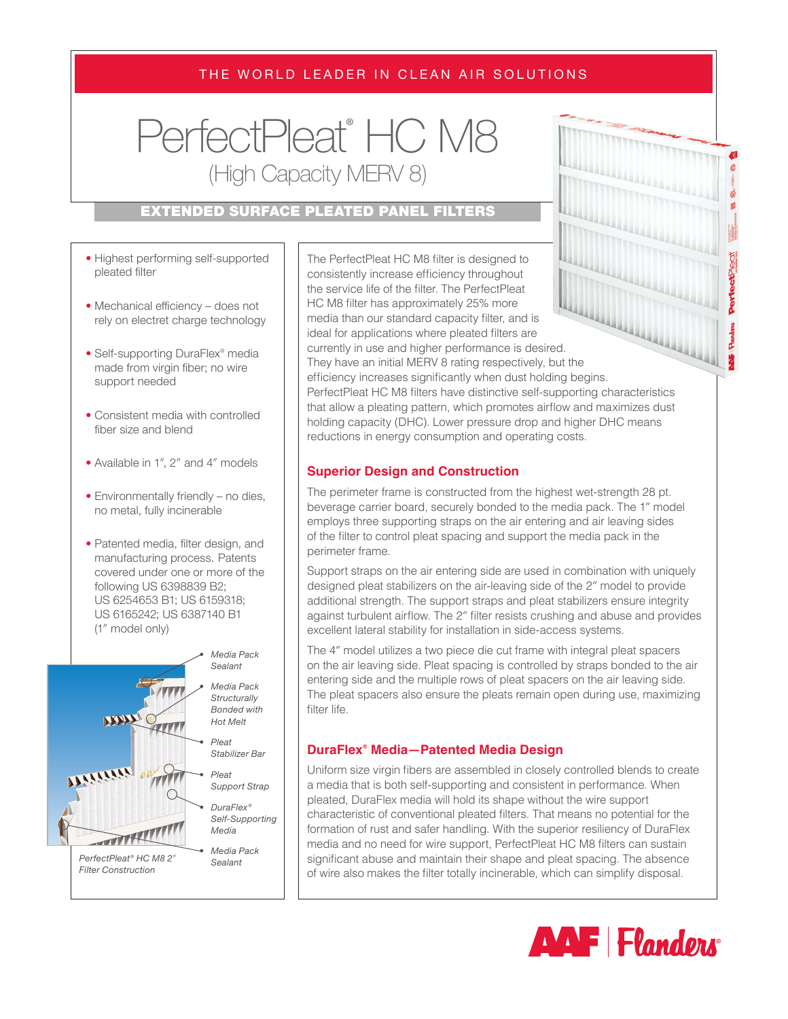# THE WORLD LEADER IN CLEAN AIR SOLUTIONS

PerfectPleat® HC M8 (High Capacity MERV 8)

# EXTENDED SURFACE PLEATED PANEL FILTERS

- Highest performing self-supported pleated filter
- Mechanical efficiency does not rely on electret charge technology
- Self-supporting DuraFlex® media made from virgin fiber; no wire support needed
- Consistent media with controlled fiber size and blend
- Available in 1″, 2″ and 4″ models
- Environmentally friendly no dies, no metal, fully incinerable
- Patented media, filter design, and manufacturing process. Patents covered under one or more of the following US 6398839 B2; US 6254653 B1; US 6159318; US 6165242; US 6387140 B1 (1″ model only)



The PerfectPleat HC M8 filter is designed to consistently increase efficiency throughout the service life of the filter. The PerfectPleat HC M8 filter has approximately 25% more media than our standard capacity filter, and is ideal for applications where pleated filters are currently in use and higher performance is desired. They have an initial MERV 8 rating respectively, but the efficiency increases significantly when dust holding begins. PerfectPleat HC M8 filters have distinctive self-supporting characteristics that allow a pleating pattern, which promotes airflow and maximizes dust holding capacity (DHC). Lower pressure drop and higher DHC means reductions in energy consumption and operating costs.

## **Superior Design and Construction**

The perimeter frame is constructed from the highest wet-strength 28 pt. beverage carrier board, securely bonded to the media pack. The 1″ model employs three supporting straps on the air entering and air leaving sides of the filter to control pleat spacing and support the media pack in the perimeter frame.

Support straps on the air entering side are used in combination with uniquely designed pleat stabilizers on the air-leaving side of the 2″ model to provide additional strength. The support straps and pleat stabilizers ensure integrity against turbulent airflow. The 2″ filter resists crushing and abuse and provides excellent lateral stability for installation in side-access systems.

The 4″ model utilizes a two piece die cut frame with integral pleat spacers on the air leaving side. Pleat spacing is controlled by straps bonded to the air entering side and the multiple rows of pleat spacers on the air leaving side. The pleat spacers also ensure the pleats remain open during use, maximizing filter life.

#### **DuraFlex® Media—Patented Media Design**

Uniform size virgin fibers are assembled in closely controlled blends to create a media that is both self-supporting and consistent in performance. When pleated, DuraFlex media will hold its shape without the wire support characteristic of conventional pleated filters. That means no potential for the formation of rust and safer handling. With the superior resiliency of DuraFlex media and no need for wire support, PerfectPleat HC M8 filters can sustain significant abuse and maintain their shape and pleat spacing. The absence of wire also makes the filter totally incinerable, which can simplify disposal.



PerfectPledi